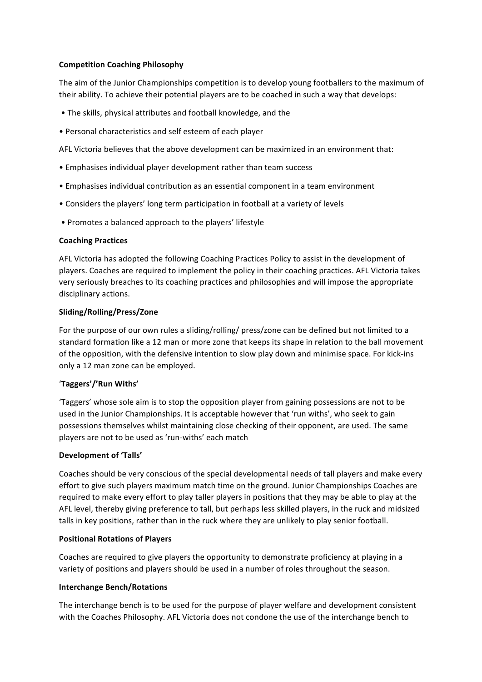## **Competition Coaching Philosophy**

The aim of the Junior Championships competition is to develop young footballers to the maximum of their ability. To achieve their potential players are to be coached in such a way that develops:

- The skills, physical attributes and football knowledge, and the
- Personal characteristics and self esteem of each player

AFL Victoria believes that the above development can be maximized in an environment that:

- Emphasises individual player development rather than team success
- Emphasises individual contribution as an essential component in a team environment
- Considers the players' long term participation in football at a variety of levels
- Promotes a balanced approach to the players' lifestyle

#### **Coaching Practices**

AFL Victoria has adopted the following Coaching Practices Policy to assist in the development of players. Coaches are required to implement the policy in their coaching practices. AFL Victoria takes very seriously breaches to its coaching practices and philosophies and will impose the appropriate disciplinary actions.

## **Sliding/Rolling/Press/Zone**

For the purpose of our own rules a sliding/rolling/ press/zone can be defined but not limited to a standard formation like a 12 man or more zone that keeps its shape in relation to the ball movement of the opposition, with the defensive intention to slow play down and minimise space. For kick-ins only a 12 man zone can be employed.

# '**Taggers'/'Run Withs'**

'Taggers' whose sole aim is to stop the opposition player from gaining possessions are not to be used in the Junior Championships. It is acceptable however that 'run withs', who seek to gain possessions themselves whilst maintaining close checking of their opponent, are used. The same players are not to be used as 'run-withs' each match

#### Development of 'Talls'

Coaches should be very conscious of the special developmental needs of tall players and make every effort to give such players maximum match time on the ground. Junior Championships Coaches are required to make every effort to play taller players in positions that they may be able to play at the AFL level, thereby giving preference to tall, but perhaps less skilled players, in the ruck and midsized talls in key positions, rather than in the ruck where they are unlikely to play senior football.

#### **Positional Rotations of Players**

Coaches are required to give players the opportunity to demonstrate proficiency at playing in a variety of positions and players should be used in a number of roles throughout the season.

#### **Interchange Bench/Rotations**

The interchange bench is to be used for the purpose of player welfare and development consistent with the Coaches Philosophy. AFL Victoria does not condone the use of the interchange bench to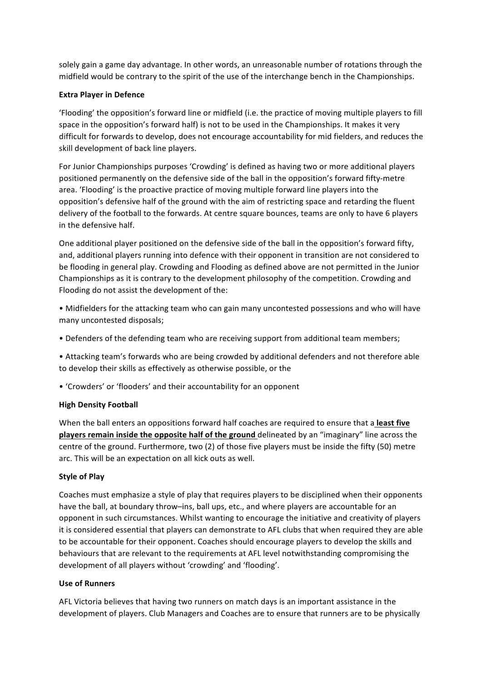solely gain a game day advantage. In other words, an unreasonable number of rotations through the midfield would be contrary to the spirit of the use of the interchange bench in the Championships.

#### **Extra Player in Defence**

'Flooding' the opposition's forward line or midfield (i.e. the practice of moving multiple players to fill space in the opposition's forward half) is not to be used in the Championships. It makes it very difficult for forwards to develop, does not encourage accountability for mid fielders, and reduces the skill development of back line players.

For Junior Championships purposes 'Crowding' is defined as having two or more additional players positioned permanently on the defensive side of the ball in the opposition's forward fifty-metre area. 'Flooding' is the proactive practice of moving multiple forward line players into the opposition's defensive half of the ground with the aim of restricting space and retarding the fluent delivery of the football to the forwards. At centre square bounces, teams are only to have 6 players in the defensive half.

One additional player positioned on the defensive side of the ball in the opposition's forward fifty, and, additional players running into defence with their opponent in transition are not considered to be flooding in general play. Crowding and Flooding as defined above are not permitted in the Junior Championships as it is contrary to the development philosophy of the competition. Crowding and Flooding do not assist the development of the:

- Midfielders for the attacking team who can gain many uncontested possessions and who will have many uncontested disposals;
- Defenders of the defending team who are receiving support from additional team members;
- Attacking team's forwards who are being crowded by additional defenders and not therefore able to develop their skills as effectively as otherwise possible, or the
- 'Crowders' or 'flooders' and their accountability for an opponent

#### **High Density Football**

When the ball enters an oppositions forward half coaches are required to ensure that a **least five players remain inside the opposite half of the ground** delineated by an "imaginary" line across the centre of the ground. Furthermore, two (2) of those five players must be inside the fifty (50) metre arc. This will be an expectation on all kick outs as well.

#### **Style of Plav**

Coaches must emphasize a style of play that requires players to be disciplined when their opponents have the ball, at boundary throw–ins, ball ups, etc., and where players are accountable for an opponent in such circumstances. Whilst wanting to encourage the initiative and creativity of players it is considered essential that players can demonstrate to AFL clubs that when required they are able to be accountable for their opponent. Coaches should encourage players to develop the skills and behaviours that are relevant to the requirements at AFL level notwithstanding compromising the development of all players without 'crowding' and 'flooding'.

#### **Use of Runners**

AFL Victoria believes that having two runners on match days is an important assistance in the development of players. Club Managers and Coaches are to ensure that runners are to be physically